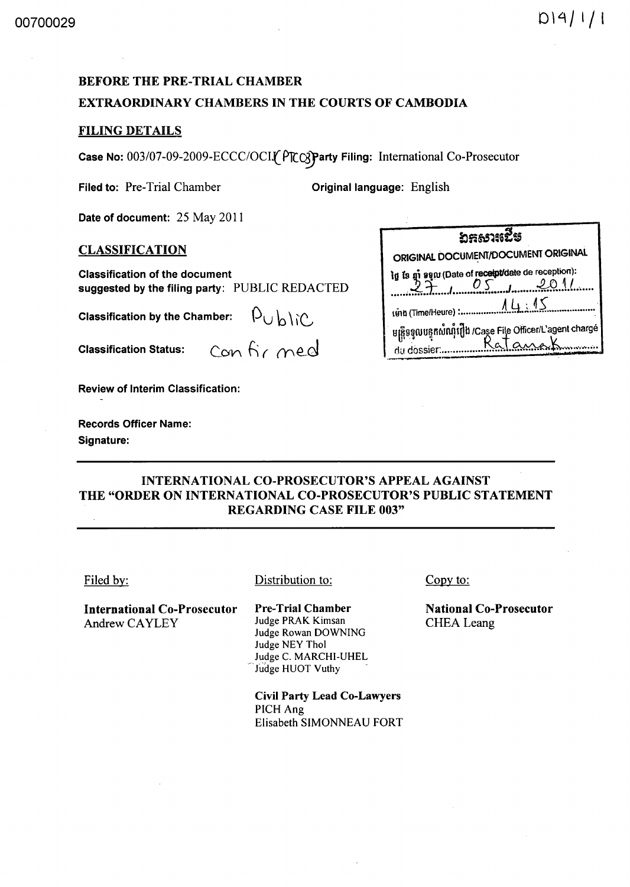# BEFORE THE PRE-TRIAL CHAMBER EXTRAORDINARY CHAMBERS IN THE COURTS OF CAMBODIA

## FILING DETAILS

Case No: *003/07-09-2009-ECCCIOCI(* P1c~arty Filing: International Co-Prosecutor

Filed to: Pre-Trial Chamber **Original language:** English

Date of document: 25 May 2011

Classification of the document

Classification by the Chamber:

Review of Interim Classification:

Records Officer Name: Signature:

# CLASSIFICATION CLASSIFICATION suggested by the filing party: PUBLIC REDACTED ~~.~~.lI.~~:~~.~~frr::~~.:~.!Qtr.r ..... . lInll (Time/Heure) : •••••••••••••••• A..Y-.. i~.1.S. *..... -.... -..... ·*  U~!l~lUu~nwrultOb ICase File officer/L'ayent charge  $\begin{array}{ccc} \textsf{\small Cassification Status:} & \textsf{\small\small{Conv}} & \textsf{\small \small{Conv}}\\ \textsf{\small{Can}} & \textsf{\small{Conv}} & \textsf{\small{Conv}}\\ \textsf{\small{Can}} & \textsf{\small{Xan}} & \textsf{\small{Xan}}\\ \textsf{\small{Xan}} & \textsf{\small{Xan}} & \textsf{\small{Xan}}\\ \textsf{\small{Xan}} & \textsf{\small{Xan}} & \textsf{\small{Xan}}\\ \textsf{\small{Xan}} & \textsf{\small{Xan}} & \textsf{\small{Xan}}\\ \textsf{\small{Xan}} & \textsf{\small{Xan}} & \textsf{\small{Xan}}\\ \$

**්**සභාවේෂ

# INTERNATIONAL CO-PROSECUTOR'S APPEAL AGAINST THE "ORDER ON INTERNATIONAL CO-PROSECUTOR'S PUBLIC STATEMENT REGARDING CASE FILE 003"

| Filed by:                                           | Distribution to:                                                                                                                   | Copy to:                                    |
|-----------------------------------------------------|------------------------------------------------------------------------------------------------------------------------------------|---------------------------------------------|
| <b>International Co-Prosecutor</b><br>Andrew CAYLEY | <b>Pre-Trial Chamber</b><br>Judge PRAK Kimsan<br>Judge Rowan DOWNING<br>Judge NEY Thol<br>Judge C. MARCHI-UHEL<br>Judge HUOT Vuthy | <b>National Co-Prosecutor</b><br>CHEA Leang |
|                                                     | <b>Civil Party Lead Co-Lawyers</b><br>PICH Ang<br>Elisabeth SIMONNEAU FORT                                                         |                                             |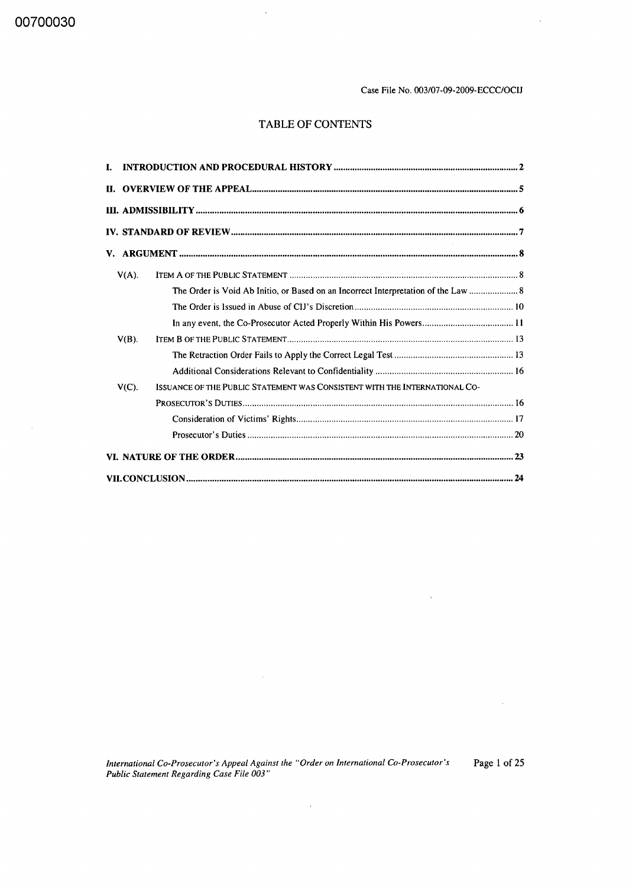00700030

 $\sim$ 

Case File No. 003/07-09-2009-ECCC/OCIJ

 $\alpha$ 

 $\sim 10$ 

 $\sim$ 

# TABLE OF CONTENTS

 $\ddot{\phantom{a}}$ 

| Ī. |          |                                                                                    |  |  |  |  |  |
|----|----------|------------------------------------------------------------------------------------|--|--|--|--|--|
|    |          |                                                                                    |  |  |  |  |  |
|    |          |                                                                                    |  |  |  |  |  |
|    |          |                                                                                    |  |  |  |  |  |
|    |          |                                                                                    |  |  |  |  |  |
|    | $V(A)$ . |                                                                                    |  |  |  |  |  |
|    |          | The Order is Void Ab Initio, or Based on an Incorrect Interpretation of the Law  8 |  |  |  |  |  |
|    |          |                                                                                    |  |  |  |  |  |
|    |          |                                                                                    |  |  |  |  |  |
|    | $V(B)$ . |                                                                                    |  |  |  |  |  |
|    |          |                                                                                    |  |  |  |  |  |
|    |          |                                                                                    |  |  |  |  |  |
|    | $V(C)$ . | ISSUANCE OF THE PUBLIC STATEMENT WAS CONSISTENT WITH THE INTERNATIONAL CO-         |  |  |  |  |  |
|    |          |                                                                                    |  |  |  |  |  |
|    |          |                                                                                    |  |  |  |  |  |
|    |          |                                                                                    |  |  |  |  |  |
|    |          |                                                                                    |  |  |  |  |  |
|    |          |                                                                                    |  |  |  |  |  |

*International Co-Prosecutor's Appeal Against the "Order on International Co-Prosecutor's Public Statement Regarding Case File 003"*  Page 1 of 25

 $\hat{\mathcal{A}}$ 

 $\sim 10^{11}$  km s  $^{-1}$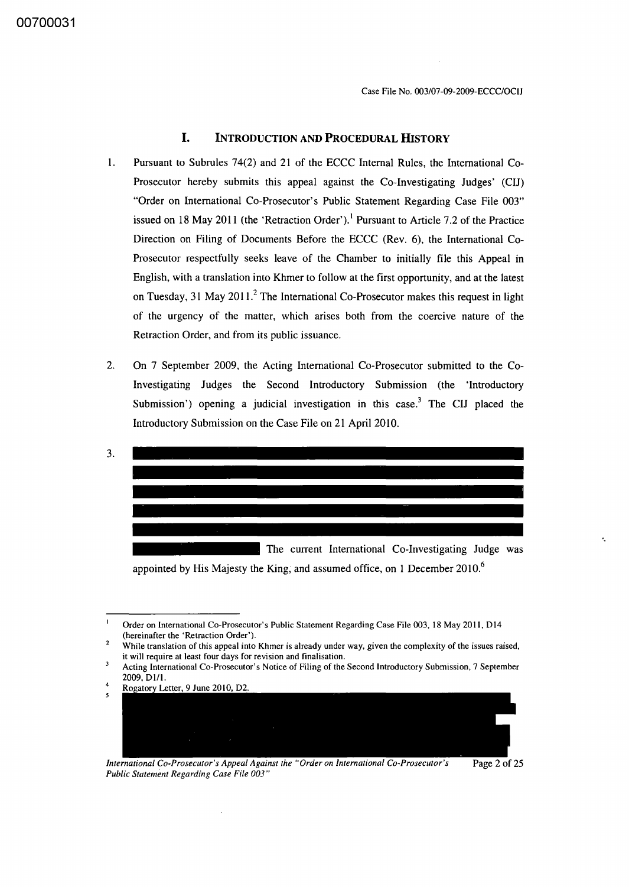### **I. INTRODUCTION AND PROCEDURAL HISTORY**

- 1. Pursuant to Subrules 74(2) and 21 of the ECCC Internal Rules, the International Co-Prosecutor hereby submits this appeal against the Co-Investigating Judges' (CIJ) "Order on International Co-Prosecutor's Public Statement Regarding Case File 003" issued on 18 May 2011 (the 'Retraction Order').<sup>1</sup> Pursuant to Article 7.2 of the Practice Direction on Filing of Documents Before the ECCC (Rev. 6), the International Co-Prosecutor respectfully seeks leave of the Chamber to initially file this Appeal in English, with a translation into Khmer to follow at the first opportunity, and at the latest on Tuesday, 31 May 2011.<sup>2</sup> The International Co-Prosecutor makes this request in light of the urgency of the matter, which arises both from the coercive nature of the Retraction Order, and from its public issuance.
- 2. On 7 September 2009, the Acting International Co-Prosecutor submitted to the Co-Investigating Judges the Second Introductory Submission (the 'Introductory Submission') opening a judicial investigation in this case.<sup>3</sup> The CIJ placed the Introductory Submission on the Case File on 21 April 2010.



appointed by His Majesty the King, and assumed office, on 1 December  $2010<sup>6</sup>$ 

Rogatory Letter, 9 June 2010, D2.



*International Co-Prosecutor's Appeal Against the "Order on International Co-Prosecutor's Public Statement Regarding Case File 003"* 



'.

Order on International Co-Prosecutor's Public Statement Regarding Case File 003, 18 May 2011, D14 (hereinafter the 'Retraction Order').

While translation of this appeal into Khmer is already under way, given the complexity of the issues raised, it will require at least four days for revision and finalisation.

٦ Acting International Co-Prosecutor's Notice of Filing of the Second Introductory Submission, 7 September 2009, D1/1.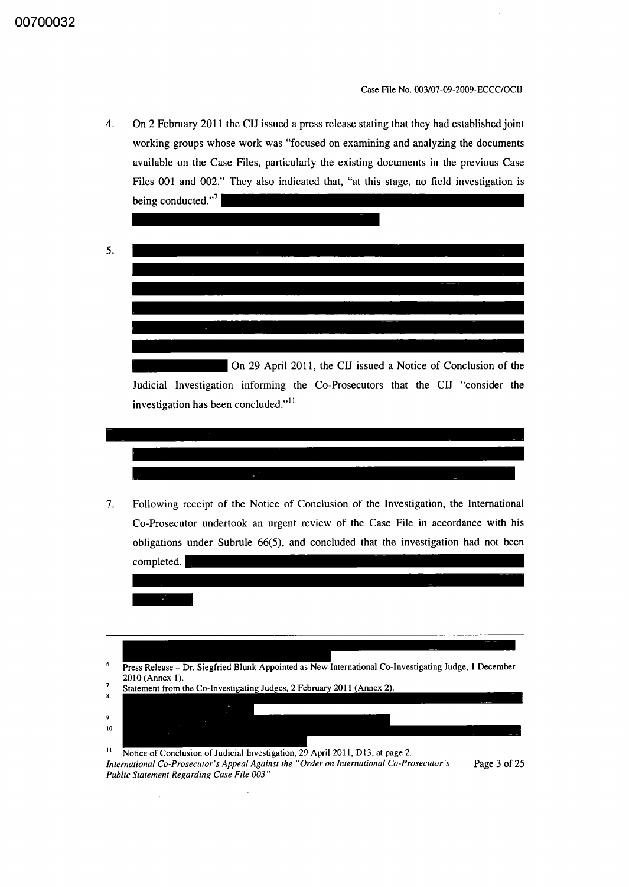4. On 2 February 2011 the CIJ issued a press release stating that they had established joint working groups whose work was "focused on examining and analyzing the documents available on the Case Files, particularly the existing documents in the previous Case Files 001 and 002." They also indicated that, "at this stage, no field investigation is being conducted." $\sqrt{ }$ 



7. Following receipt of the Notice of Conclusion of the Investigation, the International Co-Prosecutor undertook an urgent review of the Case File in accordance with his obligations under Subrule 66(5), and concluded that the investigation had not been



*International Co-Prosecutor's Appeal Against the "Order on International Co-Prosecutor's Public Statement Regarding Case File 003"* 

Page 3 of 25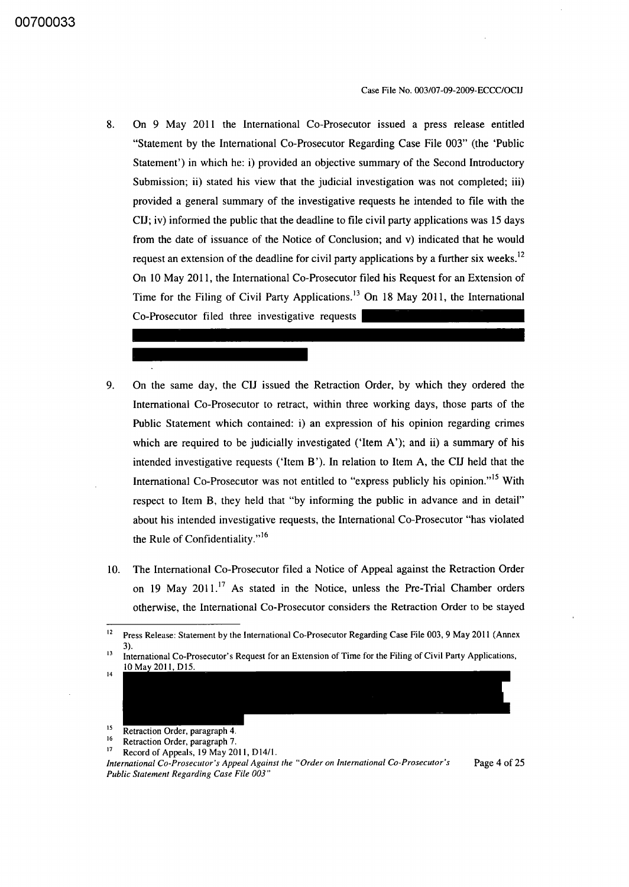- 8. On 9 May 2011 the International Co-Prosecutor issued a press release entitled "Statement by the International Co-Prosecutor Regarding Case File 003" (the 'Public Statement') in which he: i) provided an objective summary of the Second Introductory Submission; ii) stated his view that the judicial investigation was not completed; iii) provided a general summary of the investigative requests he intended to file with the CIJ; iv) infornied the public that the deadline to file civil party applications was 15 days from the date of issuance of the Notice of Conclusion; and v) indicated that he would request an extension of the deadline for civil party applications by a further six weeks.<sup>12</sup> On 10 May 2011, the International Co-Prosecutor filed his Request for an Extension of Time for the Filing of Civil Party Applications.<sup>13</sup> On 18 May 2011, the International Co-Prosecutor filed three investigative requests
- 9. On the same day, the CIJ issued the Retraction Order, by which they ordered the International Co-Prosecutor to retract, within three working days, those parts of the Public Statement which contained: i) an expression of his opinion regarding crimes which are required to be judicially investigated ('Item A'); and ii) a summary of his intended investigative requests ( $'$ Item B'). In relation to Item A, the CIJ held that the International Co-Prosecutor was not entitled to "express publicly his opinion."<sup>15</sup> With respect to Item B, they held that "by informing the public in advance and in detail" about his intended investigative requests, the International Co-Prosecutor "has violated the Rule of Confidentiality."<sup>16</sup>
- 10. The International Co-Prosecutor filed a Notice of Appeal against the Retraction Order on 19 May 2011.<sup>17</sup> As stated in the Notice, unless the Pre-Trial Chamber orders otherwise, the International Co-Prosecutor considers the Retraction Order to be stayed

<sup>15</sup> Retraction Order, paragraph 4.

- <sup>16</sup> Retraction Order, paragraph 7.<br><sup>17</sup> Paragraph 1.0 May 20
- Record of Appeals, 19 May 2011, D14/1.

*International Co-Prosecutor's Appeal Against the "Order on International Co-Prosecutor's Public Statement Regarding Case File 003"* 

Page 4 of 25

<sup>&</sup>lt;sup>12</sup> Press Release: Statement by the International Co-Prosecutor Regarding Case File 003, 9 May 2011 (Annex 3).

<sup>&</sup>lt;sup>13</sup> International Co-Prosecutor's Request for an Extension of Time for the Filing of Civil Party Applications, 14 10 May 2011, D15.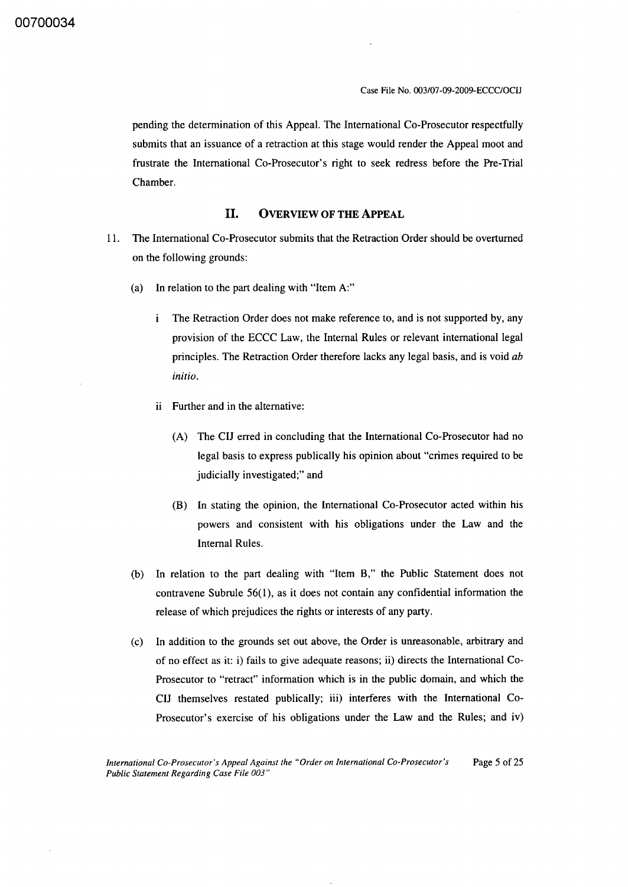pending the determination of this Appeal. The International Co-Prosecutor respectfully submits that an issuance of a retraction at this stage would render the Appeal moot and frustrate the International Co-Prosecutor's right to seek redress before the Pre-Trial Chamber.

#### H. OVERVIEW OF THE ApPEAL

- 11. The International Co-Prosecutor submits that the Retraction Order should be overturned on the following grounds:
	- (a) In relation to the part dealing with "Item A:"
		- The Retraction Order does not make reference to, and is not supported by, any i. provision of the ECCC Law, the Internal Rules or relevant international legal principles. The Retraction Order therefore lacks any legal basis, and is void *ab initio.*
		- ii Further and in the alternative:
			- (A) The CIJ erred in concluding that the International Co-Prosecutor had no legal basis to express publically his opinion about "crimes required to be judicially investigated;" and
			- (B) In stating the opinion, the International Co-Prosecutor acted within his powers and consistent with his obligations under the Law and the Internal Rules.
	- (b) In relation to the part dealing with "Item B," the Public Statement does not contravene Subrule 56(1), as it does not contain any confidential information the release of which prejudices the rights or interests of any party.
	- (c) In addition to the grounds set out above, the Order is unreasonable, arbitrary and of no effect as it: i) fails to give adequate reasons; ii) directs the International Co-Prosecutor to "retract" information which is in the public domain, and which the CIJ themselves restated publically; iii) interferes with the International Co-Prosecutor's exercise of his obligations under the Law and the Rules; and iv)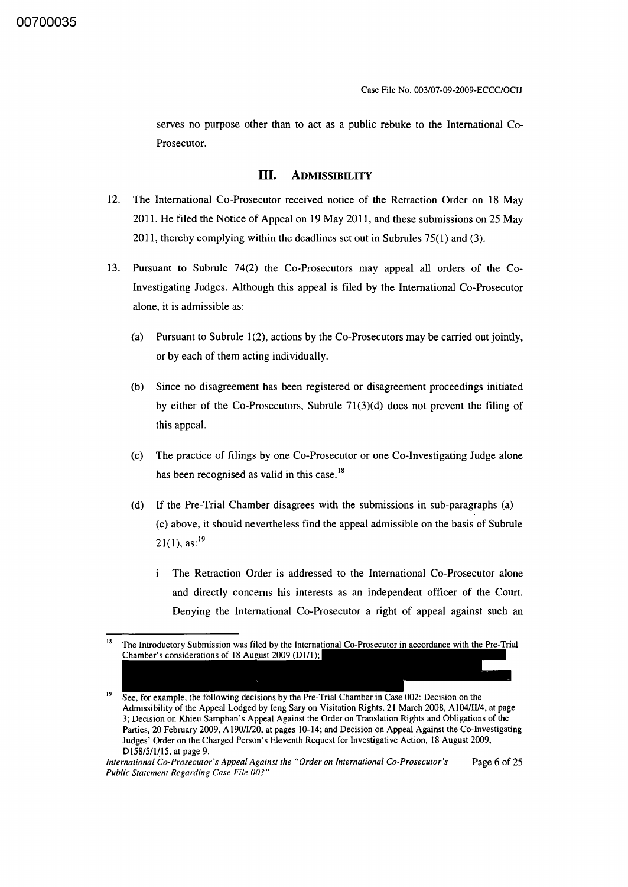serves no purpose other than to act as a public rebuke to the International Co-Prosecutor.

#### **III. ADMISSIBILITY**

- 12. The International Co-Prosecutor received notice of the Retraction Order on 18 May 2011. He filed the Notice of Appeal on 19 May 2011, and these submissions on 25 May 2011, thereby complying within the deadlines set out in Subrules 75(1) and (3).
- 13. Pursuant to Subrule 74(2) the Co-Prosecutors may appeal all orders of the Co-Investigating Judges. Although this appeal is filed by the International Co-Prosecutor alone, it is admissible as:
	- (a) Pursuant to Subrule  $1(2)$ , actions by the Co-Prosecutors may be carried out jointly, or by each of them acting individually.
	- (b) Since no disagreement has been registered or disagreement proceedings initiated by either of the Co-Prosecutors, Subrule 71(3)(d) does not prevent the filing of this appeal.
	- (c) The practice of filings by one Co-Prosecutor or one Co-Investigating Judge alone has been recognised as valid in this case.<sup>18</sup>
	- (d) If the Pre-Trial Chamber disagrees with the submissions in sub-paragraphs (a)  $-$ (c) above, it should nevertheless find the appeal admissible on the basis of Subrule  $21(1)$ , as:<sup>19</sup>
		- $\mathbf{i}$ The Retraction Order is addressed to the International Co-Prosecutor alone and directly concerns his interests as an independent officer of the Court. Denying the International Co-Prosecutor a right of appeal against such an

The Introductory Submission was filed by the International Co-Prosecutor in accordance with the Pre-Trial Chamber's considerations of 18 August 2009 (D1/1);

<sup>&</sup>lt;sup>19</sup> See, for example, the following decisions by the Pre-Trial Chamber in Case 002: Decision on the Admissibility of the Appeal Lodged by Ieng Sary on Visitation Rights, 21 March 2008, A104/II/4, at page 3; Decision on Khieu Samphan's Appeal Against the Order on Translation Rights and Obligations of the Parties, 20 February 2009, A 190/I/20, at pages 10- 14; and Decision on Appeal Against the Co-Investigating Judges' Order on the Charged Person's Eleventh Request for Investigative Action, 18 August 2009, DI58/511115, at page 9.

*International Co-Prosecutor's Appeal Against the "Order on International Co-Prosecutor's* Page 6 of 25 *Public Statement Regarding Case File 003"*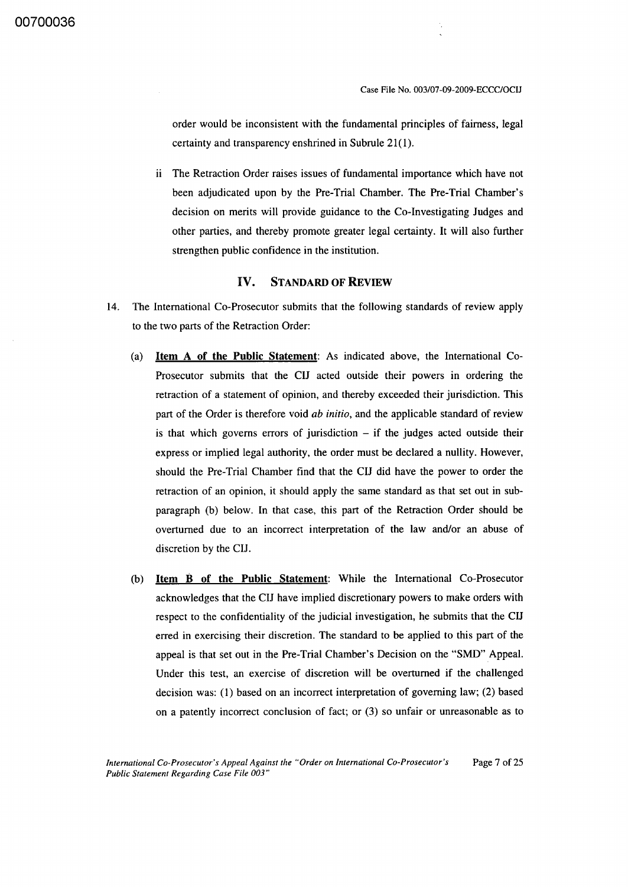order would be inconsistent with the fundamental principles of fairness, legal certainty and transparency enshrined in Subrule 21(1).

ii The Retraction Order raises issues of fundamental importance which have not been adjudicated upon by the Pre-Trial Chamber. The Pre-Trial Chamber's decision on merits will provide guidance to the Co-Investigating Judges and other parties, and thereby promote greater legal certainty. It will also further strengthen public confidence in the institution.

#### IV. STANDARD OF REVIEW

- 14. The International Co-Prosecutor submits that the following standards of review apply to the two parts of the Retraction Order:
	- (a) Item A of the Public Statement: As indicated above, the International Co-Prosecutor submits that the Cll acted outside their powers in ordering the retraction of a statement of opinion, and thereby exceeded their jurisdiction. This part of the Order is therefore void *ab initio,* and the applicable standard of review is that which governs errors of jurisdiction  $-$  if the judges acted outside their express or implied legal authority, the order must be declared a nUllity. However, should the Pre-Trial Chamber find that the Cll did have the power to order the retraction of an opinion, it should apply the same standard as that set out in subparagraph (b) below. In that case, this part of the Retraction Order should be overturned due to an incorrect interpretation of the law and/or an abuse of discretion by the CU.
	- (b) Item B of the Public Statement: While the International Co-Prosecutor acknowledges that the CU have implied discretionary powers to make orders with respect to the confidentiality of the judicial investigation, he submits that the Cll erred in exercising their discretion. The standard to be applied to this part of the appeal is that set out in the Pre-Trial Chamber's Decision on the "SMD" Appeal. Under this test, an exercise of discretion will be overturned if the challenged decision was: (I) based on an incorrect interpretation of governing law; (2) based on a patently incorrect conclusion of fact; or (3) so unfair or unreasonable as to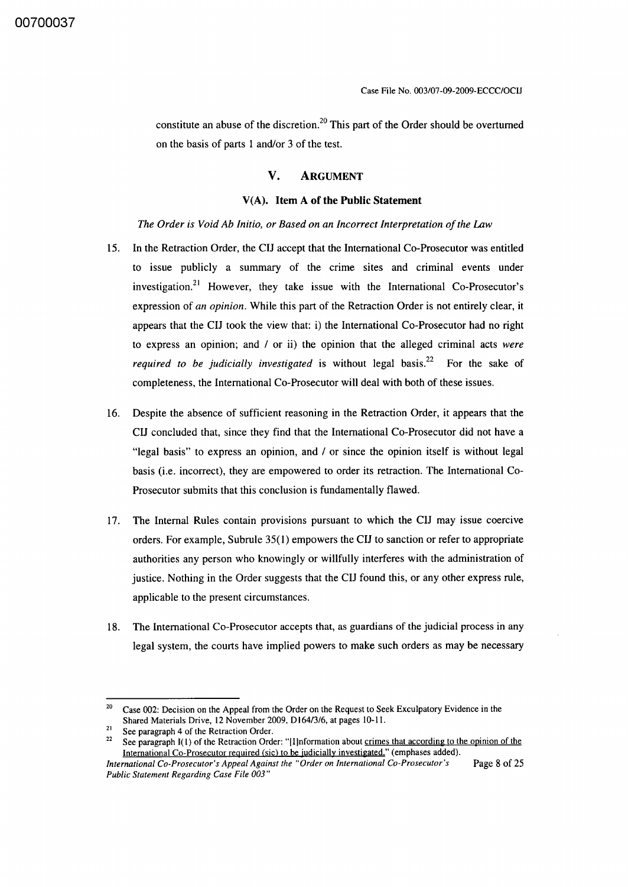constitute an abuse of the discretion.<sup>20</sup> This part of the Order should be overturned on the basis of parts 1 and/or 3 of the test.

#### **V. ARGUMENT**

#### V(A). **Item A of the Public Statement**

*The Order is Void Ab Initio, or Based on an Incorrect Interpretation of the Law* 

- 15. In the Retraction Order, the CIJ accept that the International Co-Prosecutor was entitled to issue publicly a summary of the crime sites and criminal events under investigation.<sup>21</sup> However, they take issue with the International Co-Prosecutor's expression of *an opinion.* While this part of the Retraction Order is not entirely clear, it appears that the CIJ took the view that: i) the International Co-Prosecutor had no right to express an opinion; and / or ii) the opinion that the alleged criminal acts *were required to be judicially investigated* is without legal basis.<sup>22</sup> For the sake of completeness, the International Co-Prosecutor will deal with both of these issues.
- 16. Despite the absence of sufficient reasoning in the Retraction Order, it appears that the CIJ concluded that, since they find that the International Co-Prosecutor did not have a "legal basis" to express an opinion, and / or since the opinion itself is without legal basis (i.e. incorrect), they are empowered to order its retraction. The International Co-Prosecutor submits that this conclusion is fundamentally flawed.
- 17. The Internal Rules contain provisions pursuant to which the CIJ may issue coercive orders. For example, Subrule 35( 1) empowers the CIJ to sanction or refer to appropriate authorities any person who knowingly or willfully interferes with the administration of justice. Nothing in the Order suggests that the CIJ found this, or any other express rule, applicable to the present circumstances.
- 18. The International Co-Prosecutor accepts that, as guardians of the judicial process in any legal system, the courts have implied powers to make such orders as may be necessary

<sup>&</sup>lt;sup>20</sup> Case 002: Decision on the Appeal from the Order on the Request to Seek Exculpatory Evidence in the Shared Materials Drive, 12 November 2009, D *164/3/6,* at pages IO-Il.

<sup>&</sup>lt;sup>21</sup> See paragraph 4 of the Retraction Order.<br><sup>22</sup> See paragraph  $I(1)$  of the Petraction Order.

See paragraph I(1) of the Retraction Order: "[I]nformation about crimes that according to the opinion of the International Co-Prosecutor required (sic) to be judicially investigated." (emphases added).

*International Co-Prosecutor's Appeal Against the "Order on International Co-Prosecutor's* Page 8 of 25 *Public Statement Regarding Case File 003"*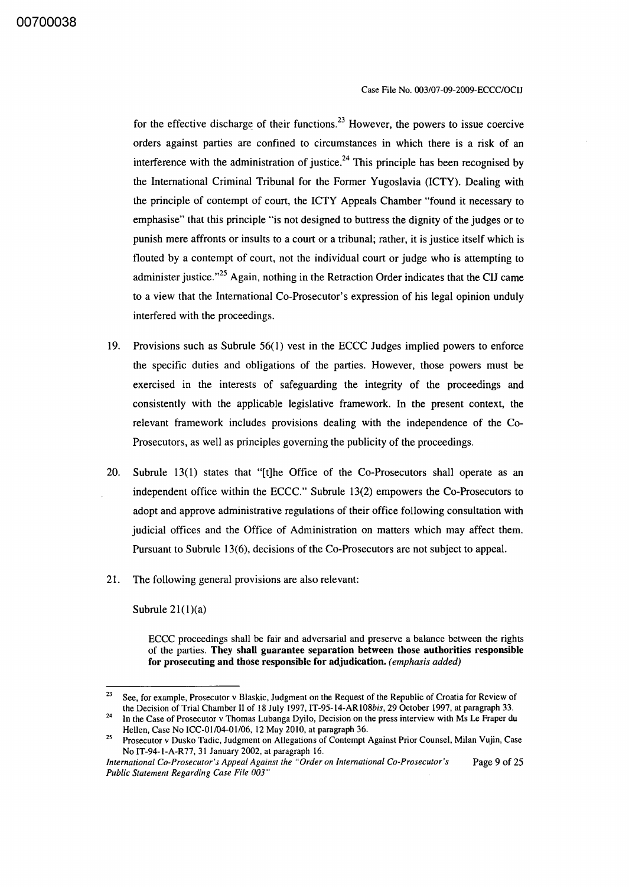for the effective discharge of their functions. <sup>23</sup> However, the powers to issue coercive orders against parties are confined to circumstances in which there is a risk of an interference with the administration of justice.<sup>24</sup> This principle has been recognised by the International Criminal Tribunal for the Former Yugoslavia (lCTY). Dealing with the principle of contempt of court, the ICTY Appeals Chamber "found it necessary to emphasise" that this principle "is not designed to buttress the dignity of the judges or to punish mere affronts or insults to a court or a tribunal; rather, it is justice itself which is flouted by a contempt of court, not the individual court or judge who is attempting to administer justice."<sup>25</sup> Again, nothing in the Retraction Order indicates that the CIJ came to a view that the International Co-Prosecutor's expression of his legal opinion unduly interfered with the proceedings.

- 19. Provisions such as Subrule 56(1) vest in the ECCC Judges implied powers to enforce the specific duties and obligations of the parties. However, those powers must be exercised in the interests of safeguarding the integrity of the proceedings and consistently with the applicable legislative framework. In the present context, the relevant framework includes provisions dealing with the independence of the Co-Prosecutors, as well as principles governing the publicity of the proceedings.
- 20. Subrule 13(1) states that "[t]he Office of the Co-Prosecutors shall operate as an independent office within the ECCC." Subrule 13(2) empowers the Co-Prosecutors to adopt and approve administrative regulations of their office following consultation with judicial offices and the Office of Administration on matters which may affect them. Pursuant to Subrule 13(6), decisions of the Co-Prosecutors are not subject to appeal.
- 21. The following general provisions are also relevant:

Subrule  $21(1)(a)$ 

ECCC proceedings shall be fair and adversarial and preserve a balance between the rights of the parties. They shall guarantee separation between those authorities responsible for prosecuting and those responsible for adjudication. *(emphasis added)* 

<sup>&</sup>lt;sup>23</sup> See, for example, Prosecutor v Blaskic, Judgment on the Request of the Republic of Croatia for Review of the Decision of Trial Chamber II of 18 July 1997, IT-95-14-ARI08bis, 29 October 1997, at paragraph 33.

In the Case of Prosecutor v Thomas Lubanga Dyilo, Decision on the press interview with Ms Le Fraper du Hellen, Case No ICC-01/04-01/06, 12 May 2010, at paragraph 36.

<sup>&</sup>lt;sup>25</sup> Prosecutor v Dusko Tadic, Judgment on Allegations of Contempt Against Prior Counsel, Milan Vujin, Case No IT-94-1-A-R77, 31 January 2002, at paragraph 16.

*International Co-Prosecutor's Appeal Against the "Order on International Co-Prosecutor's* Page 9 of 25 *Public Statement Regarding Case File 003"*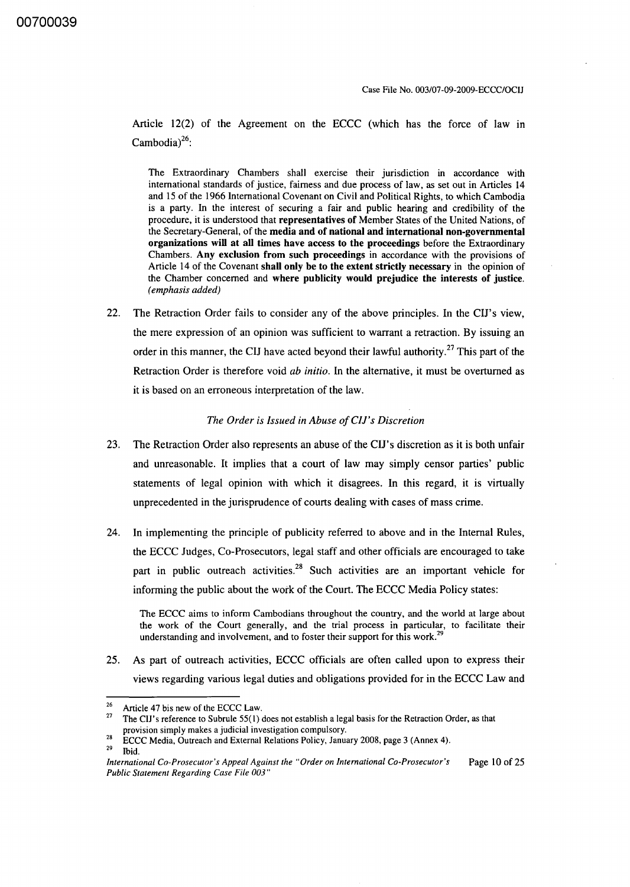Article 12(2) of the Agreement on the ECCC (which has the force of law in Cambodia) $^{26}$ :

The Extraordinary Chambers shall exercise their jurisdiction in accordance with international standards of justice, fairness and due process of law, as set out in Articles 14 and 15 of the 1966 International Covenant on Civil and Political Rights, to which Cambodia is a party. In the interest of securing a fair and public hearing and credibility of the procedure, it is understood that representatives of Member States of the United Nations, of the Secretary-General, of the media and of national and international non-governmental organizations will at all times have access to the proceedings before the Extraordinary Chambers. Any exclusion from such proceedings in accordance with the provisions of Article 14 of the Covenant shall only be to the extent strictly necessary in the opinion of the Chamber concerned and where publicity would prejudice the interests of justice. *(emphasis added)* 

22. The Retraction Order fails to consider any of the above principles. In the CIJ's view, the mere expression of an opinion was sufficient to warrant a retraction. By issuing an order in this manner, the CIJ have acted beyond their lawful authority.<sup>27</sup> This part of the Retraction Order is therefore void *ab initio.* In the alternative, it must be overturned as it is based on an erroneous interpretation of the law.

#### *The Order is Issued in Abuse ojC/J's Discretion*

- 23. The Retraction Order also represents an abuse of the CIJ's discretion as it is both unfair and unreasonable. It implies that a court of law may simply censor parties' public statements of legal opinion with which it disagrees. In this regard, it is virtually unprecedented in the jurisprudence of courts dealing with cases of mass crime.
- 24. In implementing the principle of publicity referred to above and in the Internal Rules, the ECCC Judges, Co-Prosecutors, legal staff and other officials are encouraged to take part in public outreach activities.<sup>28</sup> Such activities are an important vehicle for informing the public about the work of the Court. The ECCC Media Policy states:

25. As part of outreach activities, ECCC officials are often called upon to express their views regarding various legal duties and obligations provided for in the ECCC Law and

Ibid.

The ECCC aims to inform Cambodians throughout the country, and the world at large about the work of the Court generally, and the trial process in particular, to facilitate their understanding and involvement, and to foster their support for this work.<sup>29</sup>

<sup>&</sup>lt;sup>26</sup> Article 47 bis new of the ECCC Law.

<sup>27</sup> The CIJ's reference to Subrule 55(1) does not establish a legal basis for the Retraction Order, as that provision simply makes a judicial investigation compulsory.

ECCC Media, Outreach and External Relations Policy, January 2008, page 3 (Annex 4).

*International Co-Prosecutor's Appeal Against the "Order on International Co-Prosecutor's Public Statement Regarding Case File 003"*  Page 10 of 25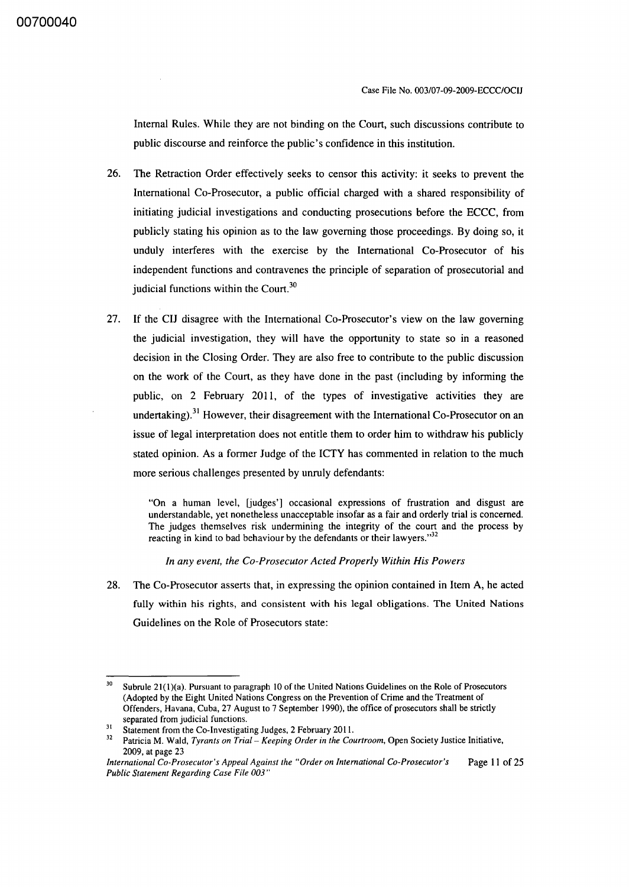Case File No. 003/07-09-2009-ECCC/OCIJ

Internal Rules. While they are not binding on the Court, such discussions contribute to public discourse and reinforce the public's confidence in this institution.

- 26. The Retraction Order effectively seeks to censor this activity: it seeks to prevent the International Co-Prosecutor, a public official charged with a shared responsibility of initiating judicial investigations and conducting prosecutions before the ECCC, from publicly stating his opinion as to the law governing those proceedings. By doing so, it unduly interferes with the exercise by the International Co-Prosecutor of his independent functions and contravenes the principle of separation of prosecutorial and judicial functions within the Court.<sup>30</sup>
- 27. If the CIJ disagree with the International Co-Prosecutor's view on the law governing the judicial investigation, they will have the opportunity to state so in a reasoned decision in the Closing Order. They are also free to contribute to the public discussion on the work of the Court, as they have done in the past (including by informing the public, on 2 February 2011, of the types of investigative activities they are undertaking).<sup>31</sup> However, their disagreement with the International Co-Prosecutor on an issue of legal interpretation does not entitle them to order him to withdraw his publicly stated opinion. As a former Judge of the ICTY has commented in relation to the much more serious challenges presented by unruly defendants:

"On a human level, [judges'] occasional expressions of frustration and disgust are understandable, yet nonetheless unacceptable insofar as a fair and orderly trial is concerned. The judges themselves risk undermining the integrity of the court and the process by reacting in kind to bad behaviour by the defendants or their lawyers."<sup>32</sup>

*In any event, the Co-Prosecutor Acted Properly Within His Powers* 

28. The Co-Prosecutor asserts that, in expressing the opinion contained in Item A, he acted fully within his rights, and consistent with his legal obligations. The United Nations Guidelines on the Role of Prosecutors state:

 $30$  Subrule 21(1)(a). Pursuant to paragraph 10 of the United Nations Guidelines on the Role of Prosecutors (Adopted by the Eight United Nations Congress on the Prevention of Crime and the Treatment of Offenders, Havana, Cuba, 27 August to 7 September 1990), the office of prosecutors shall be strictly separated from judicial functions.

<sup>&</sup>lt;sup>31</sup> Statement from the Co-Investigating Judges, 2 February 2011.

<sup>32</sup> Patricia M. Wald, *Tyrants on Trial- Keeping Order in the Courtroom,* Open Society Justice Initiative, 2009, at page 23

*International Co-Prosecutor's Appeal Against the "Order on International Co-Prosecutor's* Page **II** of 25 *Public Statement Regarding Case File 003"*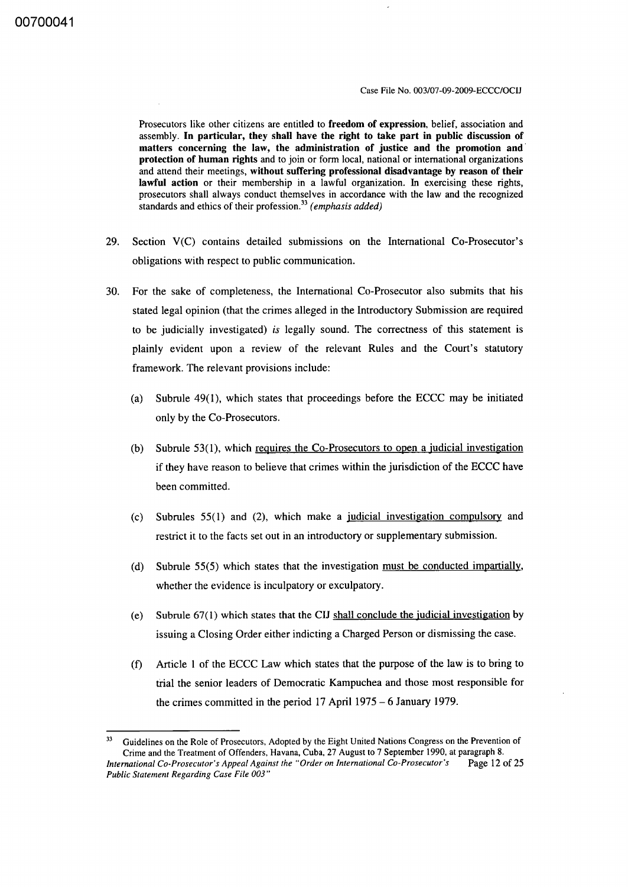Prosecutors like other citizens are entitled to freedom of expression, belief, association and assembly. In particular, they shall have the right to take part in public discussion of matters concerning the law, the administration of justice and the promotion and' protection of human rights and to join or form local, national or international organizations and attend their meetings, without suffering professional disadvantage by reason of their lawful action or their membership in a lawful organization. In exercising these rights, prosecutors shall always conduct themselves in accordance with the law and the recognized standards and ethics of their profession. <sup>33</sup>*(emphasis added)* 

- 29. Section V(C) contains detailed submissions on the International Co-Prosecutor's obligations with respect to public communication.
- 30. For the sake of completeness, the International Co-Prosecutor also submits that his stated legal opinion (that the crimes alleged in the Introductory Submission are required to be judicially investigated) *is* legally sound. The correctness of this statement is plainly evident upon a review of the relevant Rules and the Court's statutory framework. The relevant provisions include:
	- (a) Subrule 49(1), which states that proceedings before the ECCC may be initiated only by the Co-Prosecutors.
	- (b) Subrule 53(1), which requires the Co-Prosecutors to open a judicial investigation if they have reason to believe that crimes within the jurisdiction of the ECCC have been committed.
	- (c) Subrules 55(1) and (2), which make a judicial investigation compulsory and restrict it to the facts set out in an introductory or supplementary submission.
	- (d) Subrule 55(5) which states that the investigation must be conducted impartially, whether the evidence is inculpatory or exculpatory.
	- (e) Subrule  $67(1)$  which states that the CIJ shall conclude the judicial investigation by issuing a Closing Order either indicting a Charged Person or dismissing the case.
	- (f) Article I of the ECCC Law which states that the purpose of the law is to bring to trial the senior leaders of Democratic Kampuchea and those most responsible for the crimes committed in the period 17 April 1975 - 6 January 1979.

<sup>&</sup>lt;sup>33</sup> Guidelines on the Role of Prosecutors, Adopted by the Eight United Nations Congress on the Prevention of Crime and the Treatment of Offenders, Havana, Cuba, 27 August to 7 September 1990, at paragraph 8. *International Co-Prosecutor's Appeal Against the "Order on International Co-Prosecutor's* Page 12 of 25 *Public Statement Regarding Case File 003"*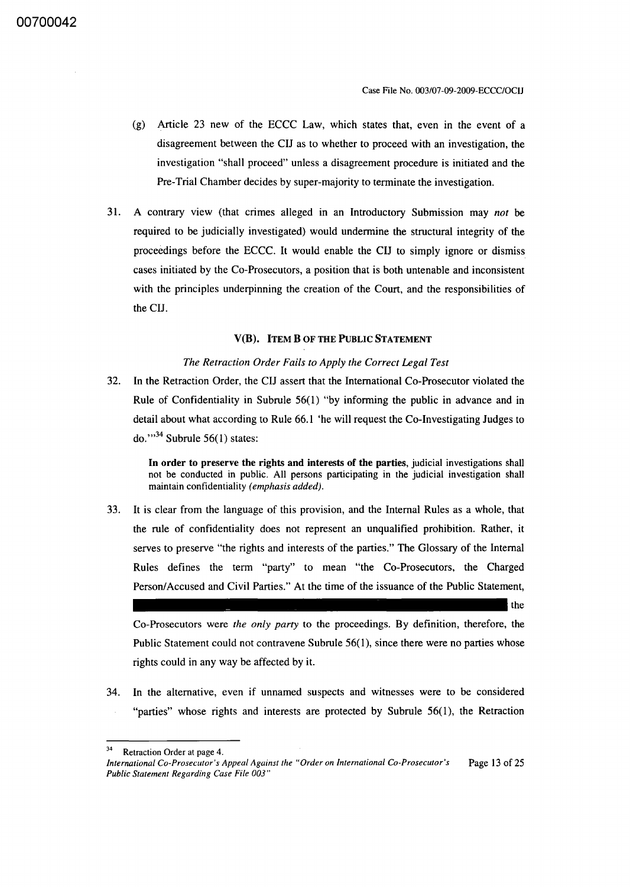- (g) Article 23 new of the ECCC Law, which states that, even in the event of a disagreement between the CIJ as to whether to proceed with an investigation, the investigation "shall proceed" unless a disagreement procedure is initiated and the Pre-Trial Chamber decides by super-majority to terminate the investigation.
- 31. A contrary view (that crimes alleged in an Introductory Submission may *not* be required to be judicially investigated) would undermine the structural integrity of the proceedings before the ECCC. It would enable the CIJ to simply ignore or dismiss cases initiated by the Co-Prosecutors, a position that is both untenable and inconsistent with the principles underpinning the creation of the Court, and the responsibilities of the CIJ.

#### V(B). ITEM B OF THE PUBLIC STATEMENT

#### *The Retraction Order Fails to Apply the Correct Legal Test*

32. In the Retraction Order, the CIJ assert that the International Co-Prosecutor violated the Rule of Confidentiality in Subrule 56(1) "by informing the public in advance and in detail about what according to Rule 66.1 'he will request the Co-Investigating Judges to do." $34$  Subrule 56(1) states:

**In** order to preserve the rights and interests of the parties, judicial investigations shall not be conducted in public. All persons participating in the judicial investigation shall maintain confidentiality *(emphasis added).* 

33. It is clear from the language of this provision, and the Internal Rules as a whole, that the rule of confidentiality does not represent an unqualified prohibition. Rather, it serves to preserve "the rights and interests of the parties." The Glossary of the Internal Rules defines the term "party" to mean "the Co-Prosecutors, the Charged Person/Accused and Civil Parties." At the time of the issuance of the Public Statement,

the

Co-Prosecutors were *the only party* to the proceedings. By definition, therefore, the Public Statement could not contravene Subrule 56(1), since there were no parties whose rights could in any way be affected by it.

34. In the alternative, even if unnamed suspects and witnesses were to be considered "parties" whose rights and interests are protected by Subrule 56(1), the Retraction

<sup>34</sup> Retraction Order at page 4.

*International Co-Prosecutor's Appeal Against the "Order on International Co-Prosecutor's Public Statement Regarding Case File 003"*  Page 13 of 25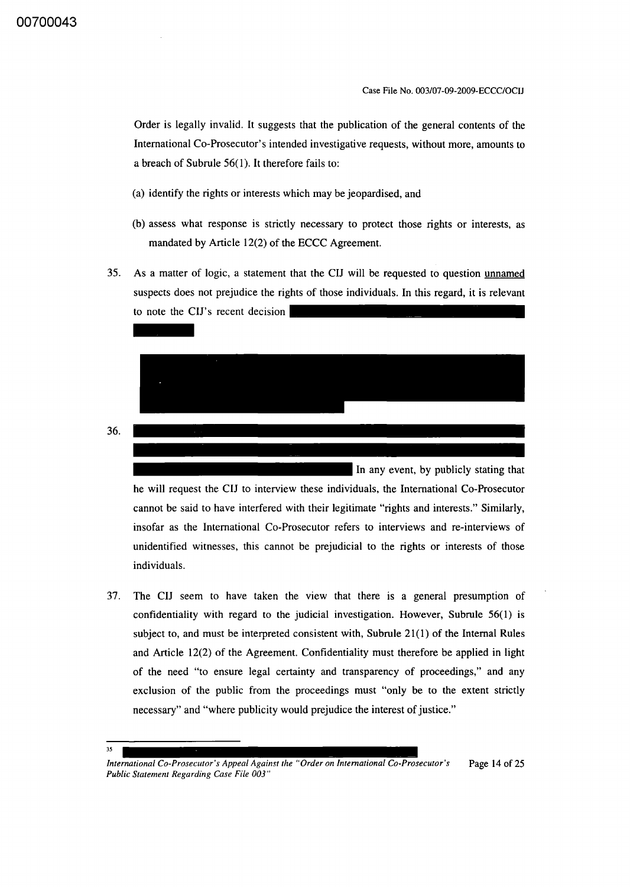Order is legally invalid. It suggests that the publication of the general contents of the International Co-Prosecutor's intended investigative requests, without more, amounts to a breach of Subrule 56(1). It therefore fails to:

- (a) identify the rights or interests which may be jeopardised, and
- (b) assess what response is strictly necessary to protect those rights or interests, as mandated by Article 12(2) of the ECCC Agreement.
- 35. As a matter of logic, a statement that the CIJ will be requested to question unnamed suspects does not prejudice the rights of those individuals. In this regard, it is relevant to note the CIJ's recent decision suspe



he will request the CIJ to interview these individuals, the International Co-Prosecutor cannot be said to have interfered with their legitimate "rights and interests." Similarly, insofar as the International Co-Prosecutor refers to interviews and re-interviews of unidentified witnesses, this cannot be prejudicial to the rights or interests of those individuals.

37. The CIJ seem to have taken the view that there is a general presumption of confidentiality with regard to the judicial investigation. However, Subrule 56(1) is subject to, and must be interpreted consistent with, Subrule  $21(1)$  of the Internal Rules and Article 12(2) of the Agreement. Confidentiality must therefore be applied in light of the need "to ensure legal certainty and transparency of proceedings," and any exclusion of the public from the proceedings must "only be to the extent strictly necessary" and "where publicity would prejudice the interest of justice."

#### 35

36.

*International Co-Prosecutor's Appeal Against the "Order on International Co-Prosecutor's Public Statement Regarding Case File 003"*  Page 14 of 25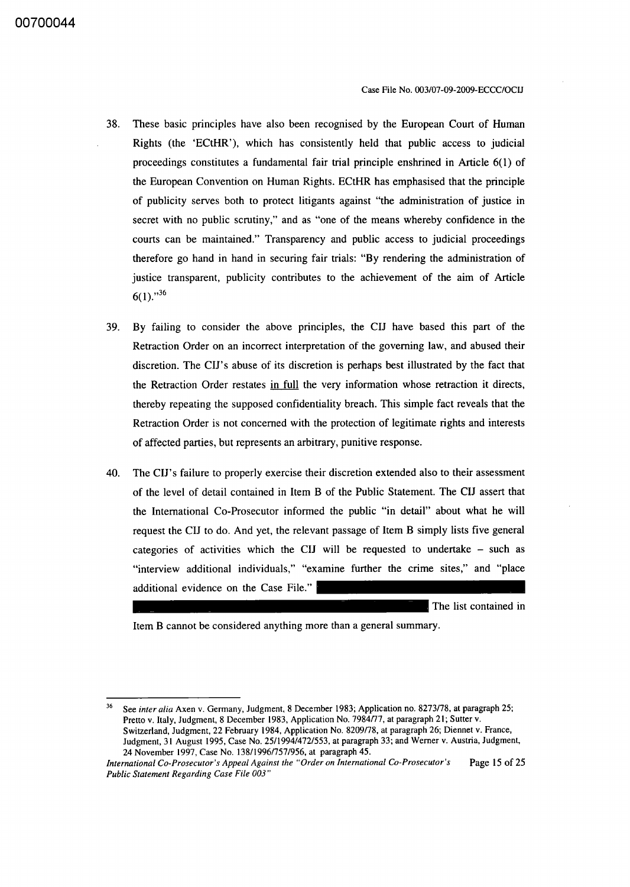- 38. These basic principles have also been recognised by the European Court of Human Rights (the 'ECtHR'), which has consistently held that public access to judicial proceedings constitutes a fundamental fair trial principle enshrined in Article 6(1) of the European Convention on Human Rights. ECtHR has emphasised that the principle of publicity serves both to protect litigants against "the administration of justice in secret with no public scrutiny," and as "one of the means whereby confidence in the courts can be maintained." Transparency and public access to judicial proceedings therefore go hand in hand in securing fair trials: "By rendering the administration of justice transparent, publicity contributes to the achievement of the aim of Article  $6(1).$ <sup>36</sup>
- 39. By failing to consider the above principles, the CIJ have based this part of the Retraction Order on an incorrect interpretation of the governing law, and abused their discretion. The CIJ's abuse of its discretion is perhaps best illustrated by the fact that the Retraction Order restates in full the very information whose retraction it directs, thereby repeating the supposed confidentiality breach. This simple fact reveals that the Retraction Order is not concerned with the protection of legitimate rights and interests of affected parties, but represents an arbitrary, punitive response.
- 40. The CIJ's failure to properly exercise their discretion extended also to their assessment of the level of detail contained in Item B of the Public Statement. The CIJ assert that the International Co-Prosecutor informed the public "in detail" about what he will request the CIJ to do. And yet, the relevant passage of Item B simply lists five general categories of activities which the CIJ will be requested to undertake - such as "interview additional individuals," "examine further the crime sites," and "place additional evidence on the Case File."

The list contained in

Item B cannot be considered anything more than a general summary.

<sup>36</sup> See *inter alia* Axen v. Germany, Judgment, 8 December 1983; Application no. 8273178, at paragraph 25; Pretto v. Italy, Judgment, 8 December 1983, Application No. 7984/77, at paragraph 21; Sutter v. Switzerland, Judgment, 22 February 1984, Application No. 8209178, at paragraph 26; Diennet v. France, Judgment, 31 August 1995, Case No. 25/1994/472/553, at paragraph 33; and Werner v. Austria, Judgment, 24 November 1997, Case No. 138119961757/956, at paragraph 45.

*International Co-Prosecutor's Appeal Against the "Order on International Co-Prosecutor's* Page 15 of 25 *Public Statement Regarding Case File 003"*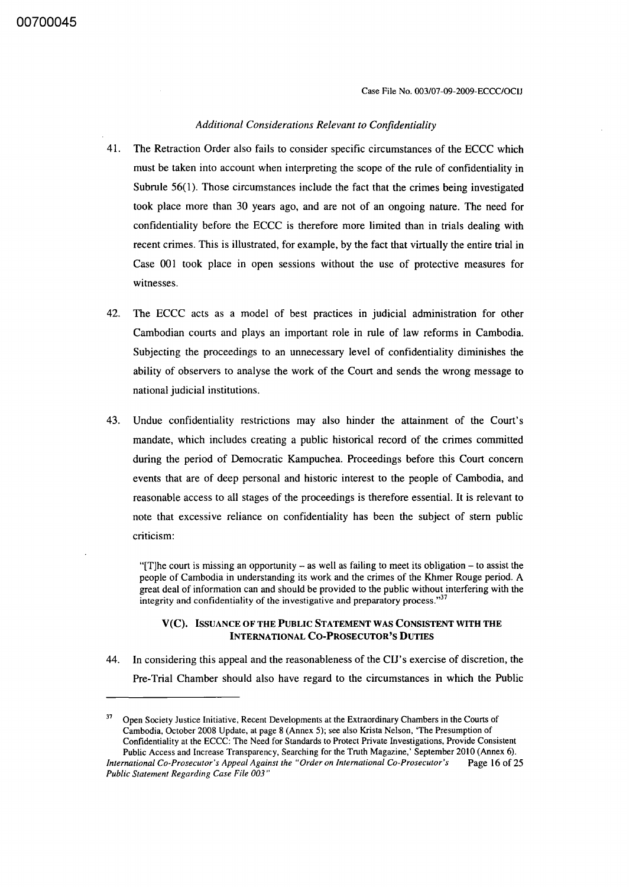Case File No. 003/07-09-2009-ECCC/OCIJ

#### *Additional Considerations ReLevant to Confidentiality*

- 41. The Retraction Order also fails to consider specific circumstances of the ECCC which must be taken into account when interpreting the scope of the rule of confidentiality in Subrule 56(1). Those circumstances include the fact that the crimes being investigated took place more than 30 years ago, and are not of an ongoing nature. The need for confidentiality before the ECCC is therefore more limited than in trials dealing with recent crimes. This is illustrated, for example, by the fact that virtually the entire trial in Case 001 took place in open sessions without the use of protective measures for witnesses.
- 42. The ECCC acts as a model of best practices in judicial administration for other Cambodian courts and plays an important role in rule of law reforms in Cambodia. SUbjecting the proceedings to an unnecessary level of confidentiality diminishes the ability of observers to analyse the work of the Court and sends the wrong message to national judicial institutions.
- 43. Undue confidentiality restrictions may also hinder the attainment of the Court's mandate, which includes creating a public historical record of the crimes committed during the period of Democratic Kampuchea. Proceedings before this Court concern events that are of deep personal and historic interest to the people of Cambodia, and reasonable access to all stages of the proceedings is therefore essential. It is relevant to note that excessive reliance on confidentiality has been the subject of stem public criticism:

"[T] he court is missing an opportunity  $-$  as well as failing to meet its obligation  $-$  to assist the people of Cambodia in understanding its work and the crimes of the Khmer Rouge period. A great deal of information can and should be provided to the public without interfering with the integrity and confidentiality of the investigative and preparatory process. $37$ 

#### v (C). ISSUANCE OF THE PUBLIC STATEMENT WAS CONSISTENT WITH THE INTERNATIONAL CO-PROSECUTOR'S DUTIES

44. In considering this appeal and the reasonableness of the CIJ's exercise of discretion, the Pre-Trial Chamber should also have regard to the circumstances in which the Public

<sup>&</sup>lt;sup>37</sup> Open Society Justice Initiative, Recent Developments at the Extraordinary Chambers in the Courts of Cambodia, October 2008 Update, at page 8 (Annex 5); see also Krista Nelson, The Presumption of Confidentiality at the ECCC: The Need for Standards to Protect Private Investigations, Provide Consistent Public Access and Increase Transparency, Searching for the Truth Magazine,' September 2010 (Annex 6). *International Co-Prosecutor's Appeal Against the "Order on International Co-Prosecutor's* Page 16 of 25 *Public Statement Regarding Case File 003"*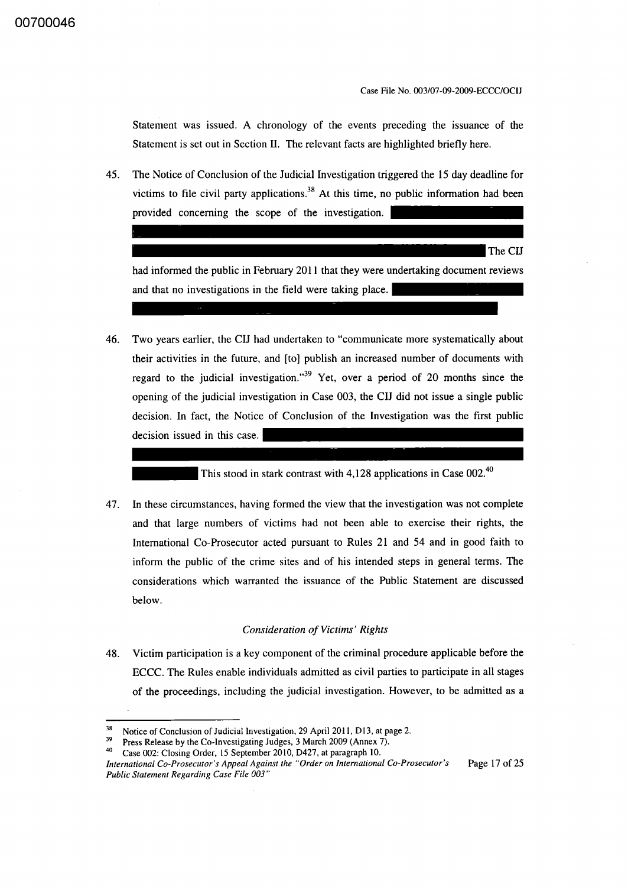Statement was issued. A chronology of the events preceding the issuance of the Statement is set out in Section II. The relevant facts are highlighted briefly here.

45. The Notice of Conclusion of the Judicial Investigation triggered the 15 day deadline for victims to file civil party applications.<sup>38</sup> At this time, no public information had been provided concerning the scope of the investigation.

The CIJ

had informed the public in February 2011 that they were undertaking document reviews and that no investigations in the field were taking place.

46. Two years earlier, the CIJ had undertaken to "communicate more systematically about their activities in the future, and [to] publish an increased number of documents with regard to the judicial investigation.<sup>39</sup> Yet, over a period of 20 months since the opening of the judicial investigation in Case 003, the CIJ did not issue a single public decision. In fact, the Notice of Conclusion of the Investigation was the first public decision issued in this case.

This stood in stark contrast with 4,128 applications in Case 002.<sup>40</sup>

47. In these circumstances, having formed the view that the investigation was not complete and that large numbers of victims had not been able to exercise their rights, the International Co-Prosecutor acted pursuant to Rules 21 and 54 and in good faith to inform the public of the crime sites and of his intended steps in general terms. The considerations which warranted the issuance of the Public Statement are discussed below.

#### *Consideration of Victims' Rights*

48. Victim participation is a key component of the criminal procedure applicable before the ECCC. The Rules enable individuals admitted as civil parties to participate in all stages of the proceedings, including the judicial investigation. However, to be admitted as a

<sup>&</sup>lt;sup>38</sup> Notice of Conclusion of Judicial Investigation, 29 April 2011, D13, at page 2.

<sup>&</sup>lt;sup>39</sup> Press Release by the Co-Investigating Judges, 3 March 2009 (Annex 7).<br><sup>40</sup> Case 002: Claring Order, 15 September 2010, D427, at paragraph 10

Case 002: Closing Order, 15 September 2010, D427, at paragraph 10.

*International Co-Prosecutor's Appeal Against the "Order on International Co-Prosecutor's Public Statement Regarding Case File 003"*  Page 17 of 25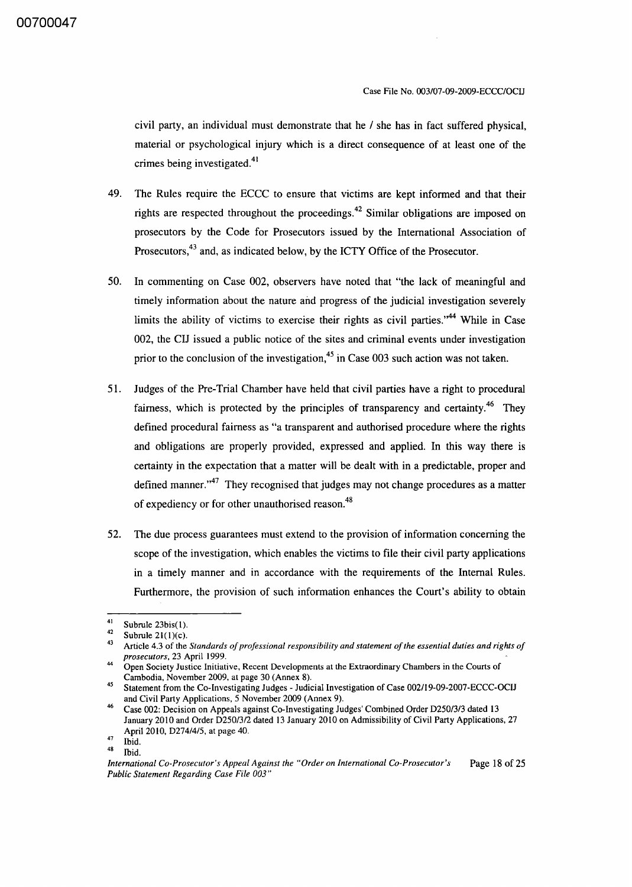civil party, an individual must demonstrate that he / she has in fact suffered physical, material or psychological injury which is a direct consequence of at least one of the crimes being investigated.<sup>41</sup>

- 49. The Rules require the ECCC to ensure that victims are kept informed and that their rights are respected throughout the proceedings.<sup>42</sup> Similar obligations are imposed on prosecutors by the Code for Prosecutors issued by the International Association of Prosecutors,<sup>43</sup> and, as indicated below, by the ICTY Office of the Prosecutor.
- 50. In commenting on Case 002, observers have noted that "the lack of meaningful and timely information about the nature and progress of the judicial investigation severely limits the ability of victims to exercise their rights as civil parties.<sup> $,44$ </sup> While in Case 002, the CIJ issued a public notice of the sites and criminal events under investigation prior to the conclusion of the investigation, $45$  in Case 003 such action was not taken.
- 51. Judges of the Pre-Trial Chamber have held that civil parties have a right to procedural fairness, which is protected by the principles of transparency and certainty.<sup>46</sup> They defined procedural fairness as "a transparent and authorised procedure where the rights and obligations are properly provided, expressed and applied. In this way there is certainty in the expectation that a matter will be dealt with in a predictable, proper and defined manner." $47$  They recognised that judges may not change procedures as a matter of expediency or for other unauthorised reason.<sup>48</sup>
- 52. The due process guarantees must extend to the provision of information concerning the scope of the investigation, which enables the victims to file their civil party applications in a timely manner and in accordance with the requirements of the Internal Rules. Furthermore, the provision of such information enhances the Court's ability to obtain

 $\frac{41}{42}$  Subrule 23bis(1).

<sup>&</sup>lt;sup>42</sup> Subrule 21(1)(c).

<sup>43</sup> Article 4.3 of the *Standards of professional responsibility and statement of the essential duties and rights of prosecutors,* 23 April 1999.

<sup>44</sup> Open Society Justice Initiative, Recent Developments at the Extraordinary Chambers in the Courts of Cambodia, November 2009, at page 30 (Annex 8).

<sup>45</sup> Statement from the Co-Investigating Judges - Judicial Investigation of Case 002/19-09-2007-ECCC-OCIJ and Civil Party Applications, S November 2009 (Annex 9).

<sup>46</sup> Case 002: Decision on Appeals against Co-Investigating Judges' Combined Order D2S0/3/3 dated 13 January 2010 and Order D2S0/3/2 dated 13 January 2010 on Admissibility of Civil Party Applications, 27 April 2010, D274/4/S, at page 40.

 $48$  Ibid.

Ibid.

*International Co-Prosecutor's Appeal Against the "Order on International Co-Prosecutor's Public Statement Regarding Case File 003"*  Page 18 of 25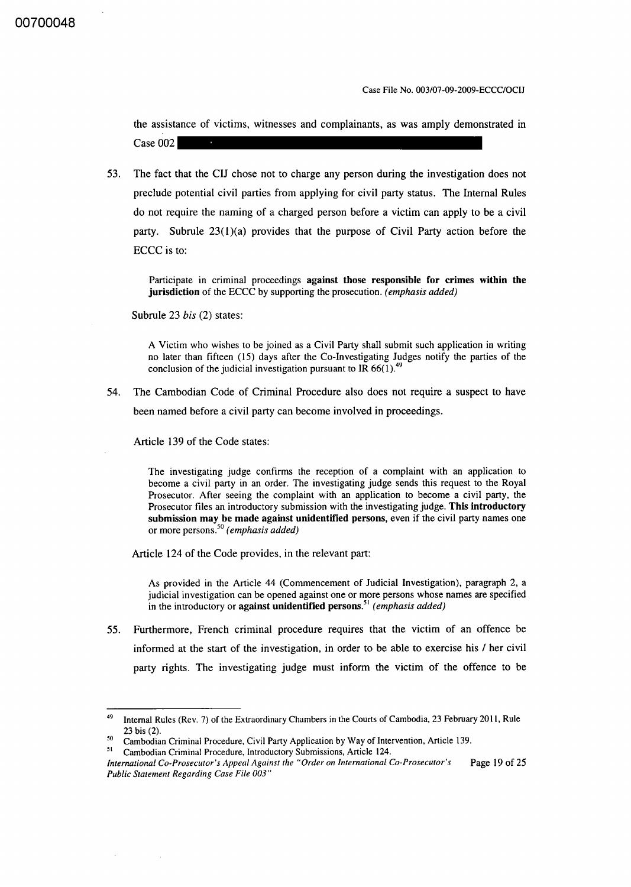Case File No. 003/07-09-2009-ECCC/OCIJ

the assistance of victims, witnesses and complainants, as was amply demonstrated in Case 002

53. The fact that the CIJ chose not to charge any person during the investigation does not preclude potential civil parties from applying for civil party status. The Internal Rules do not require the naming of a charged person before a victim can apply to be a civil party. Subrule  $23(1)(a)$  provides that the purpose of Civil Party action before the ECCC is to:

Participate in criminal proceedings against those responsible for crimes within the jurisdiction of the ECCC by supporting the prosecution. *(emphasis added)* 

Subrule 23 *bis* (2) states:

A Victim who wishes to be joined as a Civil Party shall submit such application in writing no later than fifteen (15) days after the Co-Investigating Judges notify the parties of the conclusion of the judicial investigation pursuant to IR  $66(1)$ .<sup>4</sup>

54. The Cambodian Code of Criminal Procedure also does not require a suspect to have been named before a civil party can become involved in proceedings.

Article 139 of the Code states:

The investigating judge confirms the reception of a complaint with an application to become a civil party in an order. The investigating judge sends this request to the Royal Prosecutor. After seeing the complaint with an application to become a civil party, the Prosecutor files an introductory submission with the investigating judge. This introductory submission may be made against unidentified persons, even if the civil party names one or more persons.<sup>50</sup>*(emphasis added)* 

Article 124 of the Code provides, in the relevant part:

As provided in the Article 44 (Commencement of Judicial Investigation), paragraph 2, a judicial investigation can be opened against one or more persons whose names are specified in the introductory or against unidentified persons.<sup>51</sup> (emphasis added)

55. Furthermore, French criminal procedure requires that the victim of an offence be informed at the start of the investigation, in order to be able to exercise his / her civil party rights. The investigating judge must inform the victim of the offence to be

<sup>&</sup>lt;sup>49</sup> Internal Rules (Rev. 7) of the Extraordinary Chambers in the Courts of Cambodia, 23 February 2011, Rule 23 bis (2).

<sup>&</sup>lt;sup>50</sup> Cambodian Criminal Procedure, Civil Party Application by Way of Intervention, Article 139.

<sup>51</sup>Cambodian Criminal Procedure, Introductory Submissions, Article 124.

*International Co-Prosecutor's Appeal Against the "Order on International Co-Prosecutor's* Page 19 of 25 *Public Statement Regarding Case File 003"*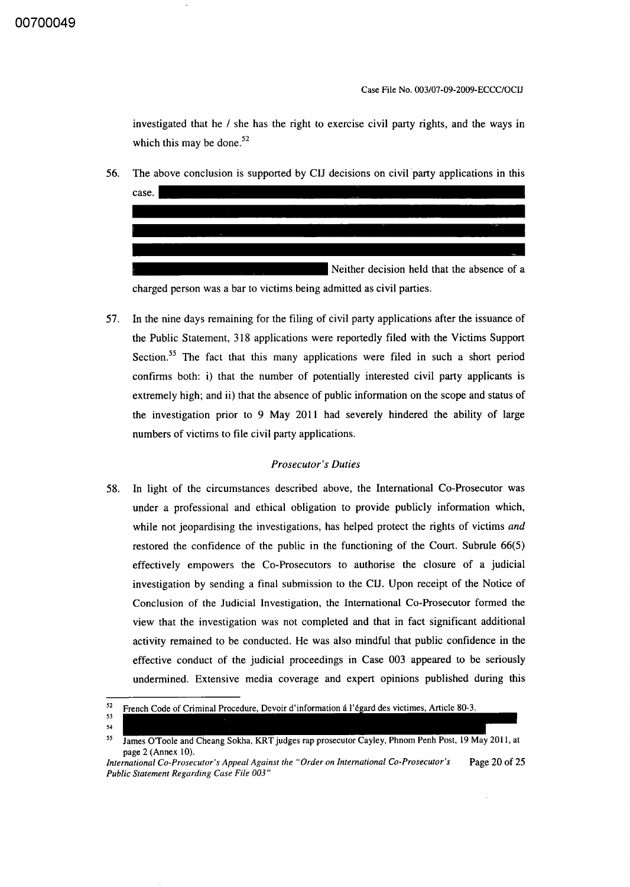Case File No. 003/07-09-2009-ECCC/OCIJ

investigated that he / she has the right to exercise civil party rights, and the ways in which this may be done.<sup>52</sup>

56. The above conclusion is supported by CIJ decisions on civil party applications in this



57. **In** the nine days remaining for the filing of civil party applications after the issuance of the Public Statement, 318 applications were reportedly filed with the Victims Support Section.<sup>55</sup> The fact that this many applications were filed in such a short period confirms both: i) that the number of potentially interested civil party applicants is extremely high; and ii) that the absence of public information on the scope and status of the investigation prior to 9 May **2011** had severely hindered the ability of large numbers of victims to file civil party applications.

#### *Prosecutor's Duties*

58. **In** light of the circumstances described above, the International Co-Prosecutor was under a professional and ethical obligation to provide publicly information which, while not jeopardising the investigations, has helped protect the rights of victims *and*  restored the confidence of the public in the functioning of the Court. Subrule 66(5) effectively empowers the Co-Prosecutors to authorise the closure of a judicial investigation by sending a final submission to the CIJ. Upon receipt of the Notice of Conclusion of the Judicial Investigation, the International Co-Prosecutor formed the view that the investigation was not completed and that in fact significant additional activity remained to be conducted. He was also mindful that public confidence in the effective conduct of the judicial proceedings in Case 003 appeared to be seriously undermined. Extensive media coverage and expert opinions published during this

<sup>52</sup> French Code of Criminal Procedure, Devoir d'information á l'égard des victimes, Article 80-3.

<sup>53</sup>  54

<sup>55</sup> James O'Toole and Cheang Sokha, KRT judges rap prosecutor Cayley, Phnom Penh Post, 19 May 2011, at page 2 (Annex 10).

*International Co-Prosecutor's Appeal Against the "Order on International Co-Prosecutor's* Page 20 of 25 *Public Statement Regarding Case File 003"*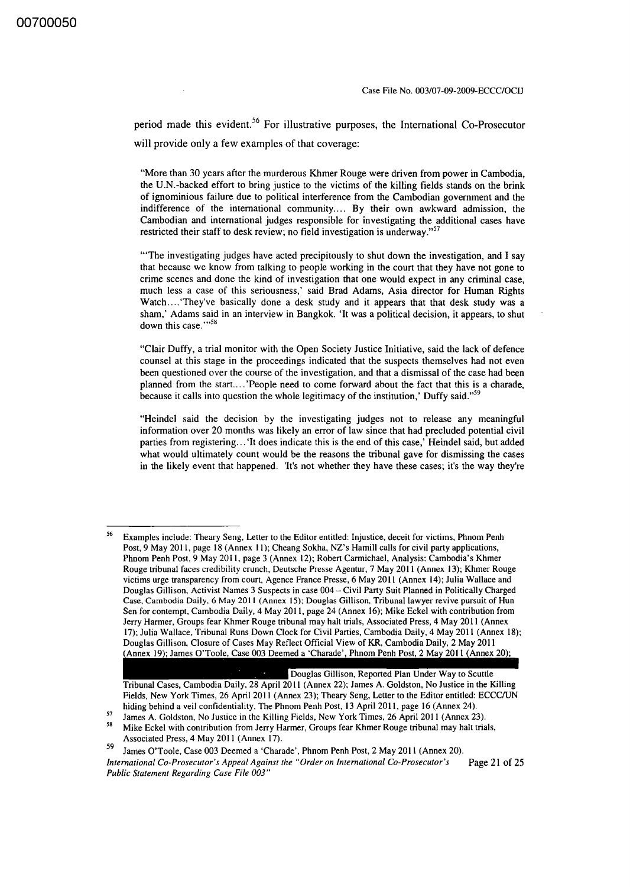period made this evident.<sup>56</sup> For illustrative purposes, the International Co-Prosecutor will provide only a few examples of that coverage:

"More than 30 years after the murderous Khmer Rouge were driven from power in Cambodia, the U.N.-backed effort to bring justice to the victims of the killing fields stands on the brink of ignominious failure due to political interference from the Cambodian government and the indifference of the international community.... By their own awkward admission, the Cambodian and international judges responsible for investigating the additional cases have restricted their staff to desk review; no field investigation is underway."<sup>57</sup>

"'The investigating judges have acted precipitously to shut down the investigation, and I say that because we know from talking to people working in the court that they have not gone to crime scenes and done the kind of investigation that one would expect in any criminal case, much less a case of this seriousness,' said Brad Adams, Asia director for Human Rights Watch.... 'They've basically done a desk study and it appears that that desk study was a sham,' Adams said in an interview in Bangkok. 'It was a political decision, it appears, to shut down this case."<sup>58</sup>

"Clair Duffy, a trial monitor with the Open Society Justice Initiative, said the lack of defence counsel at this stage in the proceedings indicated that the suspects themselves had not even been questioned over the course of the investigation, and that a dismissal of the case had been planned from the start....'People need to come forward about the fact that this is a charade, because it calls into question the whole legitimacy of the institution,' Duffy said."<sup>59</sup>

"Heindel said the decision by the investigating judges not to release any meaningful information over 20 months was likely an error of law since that had precluded potential civil parties from registering... 'It does indicate this is the end of this case,' Heindel said, but added what would ultimately count would be the reasons the tribunal gave for dismissing the cases in the likely event that happened. 'It's not whether they have these cases; it's the way they're

Douglas Gillison, Reported Plan Under Way to Scuttle Tribunal Cases, Cambodia Daily, 28 April 20 II (Annex 22); lames A. Goldston, No Justice in the Killing Fields, New York Times, 26 April 2011 (Annex 23); Theary Seng, Letter to the Editor entitled: ECCCIUN hiding behind a veil confidentiality, The Phnom Penh Post, 13 April 2011, page 16 (Annex 24).

<sup>56</sup>  Examples include: Theary Seng, Letter to the Editor entitled: Injustice, deceit for victims, Phnom Penh Post, 9 May 2011, page 18 (Annex 11); Cheang Sokha, NZ's Hamill calls for civil party applications, Phnom Penh Post. 9 May 2011, page 3 (Annex 12); Robert Carmichael, Analysis: Cambodia's Khmer Rouge tribunal faces credibility crunch, Deutsche Presse Agentur, 7 May 2011 (Annex 13); Khmer Rouge victims urge transparency from court, Agence France Presse, 6 May 2011 (Annex 14); lulia Wallace and Douglas Gillison, Activist Names 3 Suspects in case 004 - Civil Party Suit Planned in Politically Charged Case, Cambodia Daily, 6 May 2011 (Annex 15); Douglas Gillison, Tribunal lawyer revive pursuit of Hun Sen for contempt, Cambodia Daily, 4 May 2011, page 24 (Annex 16); Mike Eckel with contribution from Jerry Harmer, Groups fear Khmer Rouge tribunal may halt trials, Associated Press, 4 May 2011 (Annex 17); lulia Wallace, Tribunal Runs Down Clock for Civil Parties, Cambodia Daily, 4 May 2011 (Annex 18); Douglas Gillison, Closure of Cases May Reflect Official View of KR, Cambodia Daily, 2 May 2011 (Annex 19); James O'Toole, Case 003 Deemed a 'Charade', Phnom Penh Post, 2 May 2011 (Annex 20);

<sup>&</sup>lt;sup>57</sup> James A. Goldston, No Justice in the Killing Fields, New York Times, 26 April 2011 (Annex 23).

Mike Eckel with contribution from Jerry Harmer, Groups fear Khmer Rouge tribunal may halt trials, Associated Press, 4 May 2011 (Annex 17).

<sup>59</sup> lames O'Toole, Case 003 Deemed a 'Charade', Phnom Penh Post, 2 May 2011 (Annex 20). *International Co-Prosecutor's Appeal Against the "Order on International Co-Prosecutor's* Page 21 of 25 *Public Statement Regarding Case File 003"*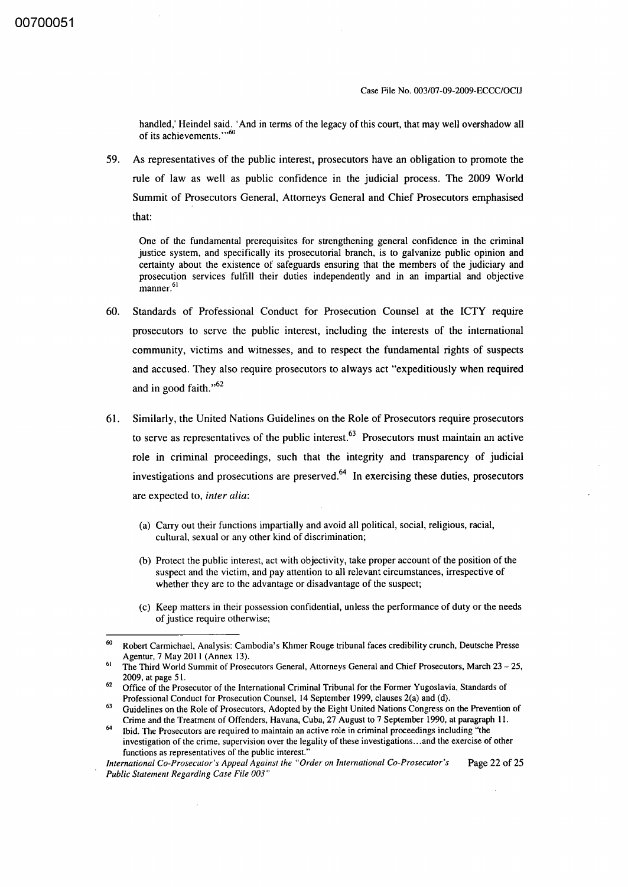handled,' Heindel said. 'And in terms of the legacy of this court, that may well overshadow all of its achievements."<sup>60</sup>

59. As representatives of the public interest, prosecutors have an obligation to promote the rule of law as well as public confidence in the judicial process. The 2009 World Summit of Prosecutors General, Attorneys General and Chief Prosecutors emphasised that:

One of the fundamental prerequisites for strengthening general confidence in the criminal justice system, and specifically its prosecutorial branch, is to galvanize public opinion and certainty about the existence of safeguards ensuring that the members of the judiciary and prosecution services fulfill their duties independently and in an impartial and objective manner.<sup>61</sup>

- 60. Standards of Professional Conduct for Prosecution Counsel at the ICTY require prosecutors to serve the public interest, including the interests of the international community, victims and witnesses, and to respect the fundamental rights of suspects and accused. They also require prosecutors to always act "expeditiously when required and in good faith."<sup>62</sup>
- 61. Similarly, the United Nations Guidelines on the Role of Prosecutors require prosecutors to serve as representatives of the public interest. $63$  Prosecutors must maintain an active role in criminal proceedings, such that the integrity and transparency of judicial investigations and prosecutions are preserved. $64$  In exercising these duties, prosecutors are expected to, *inter alia:* 
	- (a) Carry out their functions impartially and avoid all political, social, religious, racial, cultural, sexual or any other kind of discrimination;
	- (b) Protect the public interest, act with objectivity, take proper account of the position of the suspect and the victim, and pay attention to all relevant circumstances, irrespective of whether they are to the advantage or disadvantage of the suspect;
	- (c) Keep matters in their possession confidential, unless the performance of duty or the needs of justice require otherwise;

<sup>60</sup> Robert Carmichael, Analysis: Cambodia's Khmer Rouge tribunal faces credibility crunch, Deutsche Presse Agentur,7 May 2011 (Annex 13).

<sup>&</sup>lt;sup>61</sup> The Third World Summit of Prosecutors General, Attorneys General and Chief Prosecutors, March 23 - 25, 2009, at page 51.

 $62$  Office of the Prosecutor of the International Criminal Tribunal for the Former Yugoslavia, Standards of Professional Conduct for Prosecution Counsel, 14 September 1999, clauses 2(a) and (d).

<sup>&</sup>lt;sup>63</sup> Guidelines on the Role of Prosecutors, Adopted by the Eight United Nations Congress on the Prevention of Crime and the Treatment of Offenders, Havana, Cuba, 27 August to 7 September 1990, at paragraph I I.

<sup>64</sup>Ibid. The Prosecutors are required to maintain an active role in criminal proceedings including "the investigation of the crime, supervision over the legality of these investigations ... and the exercise of other functions as representatives of the public interest.'

*International Co-Prosecutor's Appeal Against the "Order on International Co-Prosecutor's* Page 22 of 25 *Public Statement Regarding Case File 003"*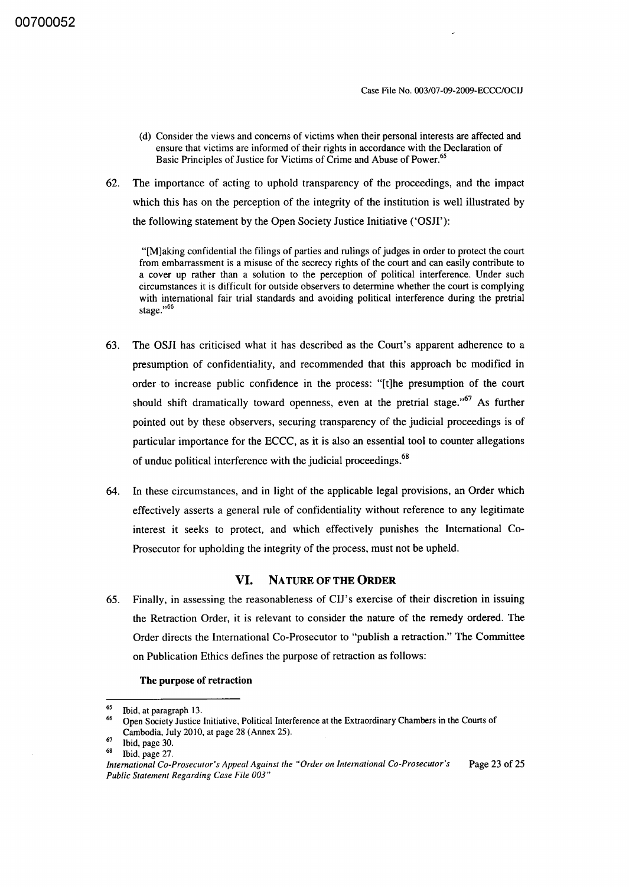- (d) Consider the views and concerns of victims when their personal interests are affected and ensure that victims are informed of their rights in accordance with the Declaration of Basic Principles of Justice for Victims of Crime and Abuse of Power.<sup>65</sup>
- 62. The importance of acting to uphold transparency of the proceedings, and the impact which this has on the perception of the integrity of the institution is well illustrated by the following statement by the Open Society Justice Initiative ('OSH'):

"[M]aking confidential the filings of parties and rulings of judges in order to protect the court from embarrassment is a misuse of the secrecy rights of the court and can easily contribute to a cover up rather than a solution to the perception of political interference. Under such circumstances it is difficult for outside observers to determine whether the court is complying with international fair trial standards and avoiding political interference during the pretrial stage."<sup>66</sup>

- 63. The OSH has criticised what it has described as the Court's apparent adherence to a presumption of confidentiality, and recommended that this approach be modified in order to increase public confidence in the process: "[t]he presumption of the court should shift dramatically toward openness, even at the pretrial stage.<sup> $,67$ </sup> As further pointed out by these observers, securing transparency of the judicial proceedings is of particular importance for the ECCC, as it is also an essential tool to counter allegations of undue political interference with the judicial proceedings.<sup>68</sup>
- 64. In these circumstances, and in light of the applicable legal provisions, an Order which effectively asserts a general rule of confidentiality without reference to any legitimate interest it seeks to protect, and which effectively punishes the International Co-Prosecutor for upholding the integrity of the process, must not be upheld.

#### **VI.** NATURE OF **THE ORDER**

65. Finally, in assessing the reasonableness of CIJ's exercise of their discretion in issuing the Retraction Order, it is relevant to consider the nature of the remedy ordered. The Order directs the International Co-Prosecutor to "publish a retraction." The Committee on Publication Ethics defines the purpose of retraction as follows:

#### The purpose of retraction

 $^{65}$  Ibid, at paragraph 13.

<sup>66</sup> Open Society Justice Initiative, Political Interference at the Extraordinary Chambers in the Courts of Cambodia, July 2010, at page 28 (Annex 25).

Ibid, page 30.

Ibid, page 27.

*International Co-Prosecutor's Appeal Against the "Order on International Co-Prosecutor's* Page 23 of 25 *Public Statement Regarding Case File 003"*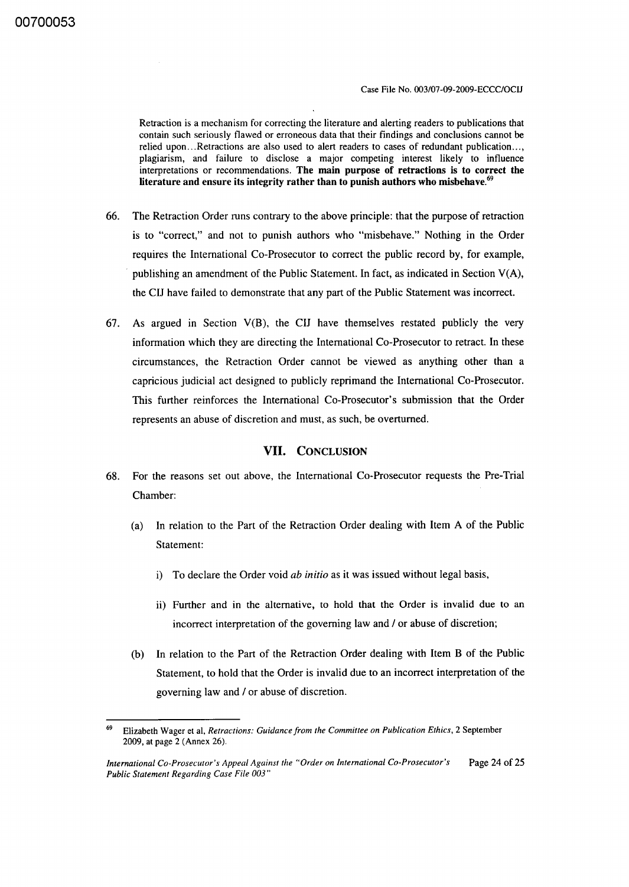Retraction is a mechanism for correcting the literature and alerting readers to publications that contain such seriously flawed or erroneous data that their findings and conclusions cannot be relied upon... Retractions are also used to alert readers to cases of redundant publication..., plagiarism, and failure to disclose a major competing interest likely to influence interpretations or recommendations. The main purpose of retractions is to correct the literature and ensure its integrity rather than to punish authors who misbehave. $69$ 

- 66. The Retraction Order runs contrary to the above principle: that the purpose of retraction is to "correct," and not to punish authors who "misbehave." Nothing in the Order requires the International Co-Prosecutor to correct the public record by, for example, . publishing an amendment of the Public Statement. In fact, as indicated in Section V(A), the CIJ have failed to demonstrate that any part of the Public Statement was incorrect.
- 67. As argued in Section  $V(B)$ , the CIJ have themselves restated publicly the very information which they are directing the International Co-Prosecutor to retract. In these circumstances, the Retraction Order cannot be viewed as anything other than a capricious judicial act designed to publicly reprimand the International Co-Prosecutor. This further reinforces the International Co-Prosecutor's submission that the Order represents an abuse of discretion and must, as such, be overturned.

#### VII. CONCLUSION

- 68. For the reasons set out above, the International Co-Prosecutor requests the Pre-Trial Chamber:
	- (a) In relation to the Part of the Retraction Order dealing with Item A of the Public Statement:
		- i) To declare the Order void *ab initio* as it was issued without legal basis,
		- ii) Further and in the alternative, to hold that the Order is invalid due to an incorrect interpretation of the governing law and / or abuse of discretion;
	- (b) In relation to the Part of the Retraction Order dealing with Item B of the Public Statement, to hold that the Order is invalid due to an incorrect interpretation of the governing law and / or abuse of discretion.

<sup>69</sup> Elizabeth Wager et aI, *Retractions: Guidance from the Committee on Publication Ethics,* 2 September 2009, at page 2 (Annex 26).

*International Co-Prosecutor's Appeal Against the "Order on International Co-Prosecutor's Public Statement Regarding Case File 003"*  Page 24 of 25